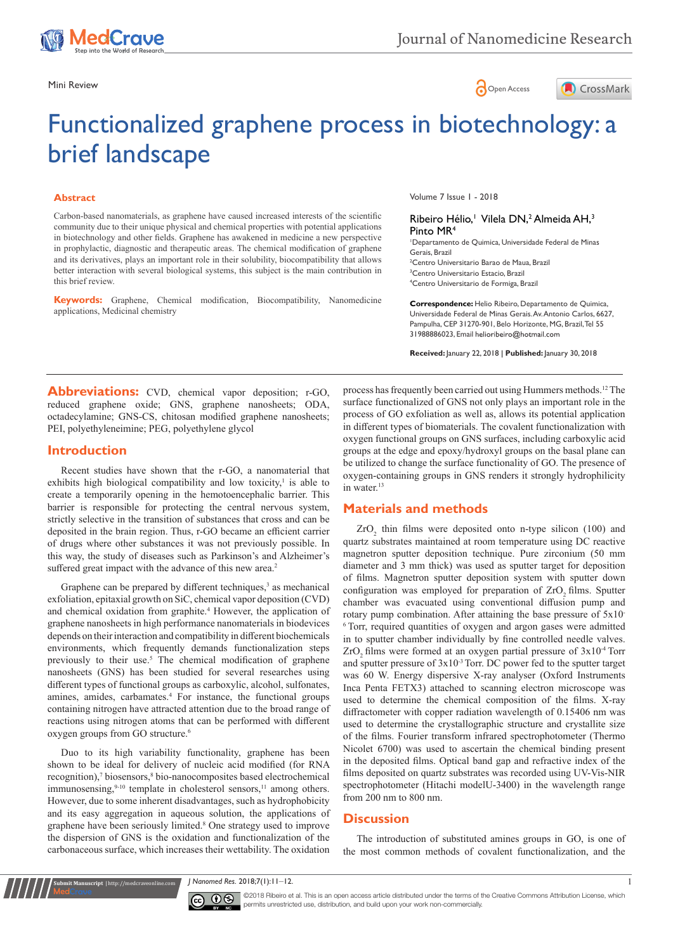

Mini Review **Open Access** 



# Functionalized graphene process in biotechnology: a brief landscape

#### **Abstract**

Carbon-based nanomaterials, as graphene have caused increased interests of the scientific community due to their unique physical and chemical properties with potential applications in biotechnology and other fields. Graphene has awakened in medicine a new perspective in prophylactic, diagnostic and therapeutic areas. The chemical modification of graphene and its derivatives, plays an important role in their solubility, biocompatibility that allows better interaction with several biological systems, this subject is the main contribution in this brief review.

**Keywords:** Graphene, Chemical modification, Biocompatibility, Nanomedicine applications, Medicinal chemistry

Volume 7 Issue 1 - 2018

#### Ribeiro Hélio,<sup>1</sup> Vilela DN,<sup>2</sup> Almeida AH,<sup>3</sup> Pinto MR4

 Departamento de Quimica, Universidade Federal de Minas Gerais, Brazil Centro Universitario Barao de Maua, Brazil Centro Universitario Estacio, Brazil Centro Universitario de Formiga, Brazil

**Correspondence:** Helio Ribeiro, Departamento de Quimica, Universidade Federal de Minas Gerais. Av. Antonio Carlos, 6627, Pampulha, CEP 31270-901, Belo Horizonte, MG, Brazil, Tel 55 31988886023, Email helioribeiro@hotmail.com

**Received:** January 22, 2018 | **Published:** January 30, 2018

Abbreviations: CVD, chemical vapor deposition; r-GO, reduced graphene oxide; GNS, graphene nanosheets; ODA, octadecylamine; GNS-CS, chitosan modified graphene nanosheets; PEI, polyethyleneimine; PEG, polyethylene glycol

### **Introduction**

Recent studies have shown that the r-GO, a nanomaterial that exhibits high biological compatibility and low toxicity, $\frac{1}{1}$  is able to create a temporarily opening in the hemotoencephalic barrier. This barrier is responsible for protecting the central nervous system, strictly selective in the transition of substances that cross and can be deposited in the brain region. Thus, r-GO became an efficient carrier of drugs where other substances it was not previously possible. In this way, the study of diseases such as Parkinson's and Alzheimer's suffered great impact with the advance of this new area.<sup>[2](https://medcraveonline.com/JNMR/functionalized-graphene-process-in-biotechnology-a-brief-landscape.html#ref2)</sup>

Graphene can be prepared by different techniques,<sup>[3](https://medcraveonline.com/JNMR/functionalized-graphene-process-in-biotechnology-a-brief-landscape.html#ref3)</sup> as mechanical exfoliation, epitaxial growth on SiC, chemical vapor deposition (CVD) and chemical oxidation from graphite.<sup>4</sup> However, the application of graphene nanosheets in high performance nanomaterials in biodevices depends on their interaction and compatibility in different biochemicals environments, which frequently demands functionalization steps previously to their use.<sup>5</sup> The chemical modification of graphene nanosheets (GNS) has been studied for several researches using different types of functional groups as carboxylic, alcohol, sulfonates, amines, amides, carbamates.[4](https://medcraveonline.com/JNMR/functionalized-graphene-process-in-biotechnology-a-brief-landscape.html#ref4) For instance, the functional groups containing nitrogen have attracted attention due to the broad range of reactions using nitrogen atoms that can be performed with different oxygen groups from GO structure.<sup>6</sup>

Duo to its high variability functionality, graphene has been shown to be ideal for delivery of nucleic acid modified (for RNA recognition)[,7](https://medcraveonline.com/JNMR/functionalized-graphene-process-in-biotechnology-a-brief-landscape.html#ref7) biosensors[,8](https://medcraveonline.com/JNMR/functionalized-graphene-process-in-biotechnology-a-brief-landscape.html#ref8) bio-nanocomposites based electrochemical immunosensing, $9-10$  template in cholesterol sensors,<sup>[11](https://medcraveonline.com/JNMR/functionalized-graphene-process-in-biotechnology-a-brief-landscape.html#ref11)</sup> among others. However, due to some inherent disadvantages, such as hydrophobicity and its easy aggregation in aqueous solution, the applications of graphene have been seriously limited[.8](https://medcraveonline.com/JNMR/functionalized-graphene-process-in-biotechnology-a-brief-landscape.html#ref8) One strategy used to improve the dispersion of GNS is the oxidation and functionalization of the carbonaceous surface, which increases their wettability. The oxidation

**it Manuscript** | http://medcraveonline.co

process has frequently been carried out using Hummers methods.[12](https://medcraveonline.com/JNMR/functionalized-graphene-process-in-biotechnology-a-brief-landscape.html#ref12)The surface functionalized of GNS not only plays an important role in the process of GO exfoliation as well as, allows its potential application in different types of biomaterials. The covalent functionalization with oxygen functional groups on GNS surfaces, including carboxylic acid groups at the edge and epoxy/hydroxyl groups on the basal plane can be utilized to change the surface functionality of GO. The presence of oxygen-containing groups in GNS renders it strongly hydrophilicity in water.<sup>[13](https://medcraveonline.com/JNMR/functionalized-graphene-process-in-biotechnology-a-brief-landscape.html#ref13)</sup>

#### **Materials and methods**

 $ZrO<sub>2</sub>$  thin films were deposited onto n-type silicon (100) and quartz substrates maintained at room temperature using DC reactive magnetron sputter deposition technique. Pure zirconium (50 mm diameter and 3 mm thick) was used as sputter target for deposition of films. Magnetron sputter deposition system with sputter down configuration was employed for preparation of ZrO<sub>2</sub> films. Sputter chamber was evacuated using conventional diffusion pump and rotary pump combination. After attaining the base pressure of 5x10- <sup>6</sup> Torr, required quantities of oxygen and argon gases were admitted in to sputter chamber individually by fine controlled needle valves. ZrO<sub>2</sub> films were formed at an oxygen partial pressure of  $3x10^{-4}$  Torr and sputter pressure of  $3x10^{-3}$  Torr. DC power fed to the sputter target was 60 W. Energy dispersive X-ray analyser (Oxford Instruments Inca Penta FETX3) attached to scanning electron microscope was used to determine the chemical composition of the films. X-ray diffractometer with copper radiation wavelength of 0.15406 nm was used to determine the crystallographic structure and crystallite size of the films. Fourier transform infrared spectrophotometer (Thermo Nicolet 6700) was used to ascertain the chemical binding present in the deposited films. Optical band gap and refractive index of the films deposited on quartz substrates was recorded using UV-Vis-NIR spectrophotometer (Hitachi modelU-3400) in the wavelength range from 200 nm to 800 nm.

# **Discussion**

The introduction of substituted amines groups in GO, is one of the most common methods of covalent functionalization, and the

*J Nanomed Res.* 2018;7(1):11‒12. 1



©2018 Ribeiro et al. This is an open access article distributed under the terms of the Creative Commons Attribution License, which permits unrestricted use, distribution, and build upon your work non-commercially.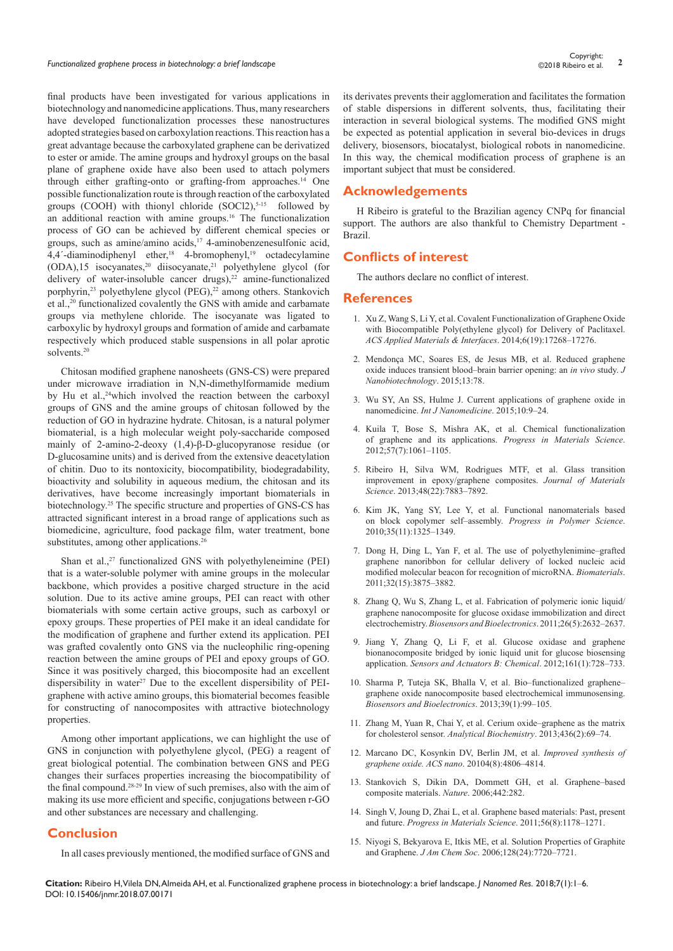final products have been investigated for various applications in biotechnology and nanomedicine applications. Thus, many researchers have developed functionalization processes these nanostructures adopted strategies based on carboxylation reactions. This reaction has a great advantage because the carboxylated graphene can be derivatized to ester or amide. The amine groups and hydroxyl groups on the basal plane of graphene oxide have also been used to attach polymers through either grafting-onto or grafting-from approaches.[14](https://medcraveonline.com/JNMR/functionalized-graphene-process-in-biotechnology-a-brief-landscape.html#ref14) One possible functionalization route is through reaction of the carboxylated groups (COOH) with thionyl chloride  $(SOCI2)$ ,<sup>5-15</sup> followed by an additional reaction with amine groups.[16](https://medcraveonline.com/JNMR/functionalized-graphene-process-in-biotechnology-a-brief-landscape.html#ref16) The functionalization process of GO can be achieved by different chemical species or groups, such as amine/amino acids, $^{17}$  $^{17}$  $^{17}$  4-aminobenzenesulfonic acid,  $4,4'$ -diaminodiphenyl ether,<sup>18</sup> 4-bromophenyl,<sup>[19](https://medcraveonline.com/JNMR/functionalized-graphene-process-in-biotechnology-a-brief-landscape.html#ref19)</sup> octadecylamine (ODA),15 isocyanates[,20](https://medcraveonline.com/JNMR/functionalized-graphene-process-in-biotechnology-a-brief-landscape.html#ref20) diisocyanate,[21](https://medcraveonline.com/JNMR/functionalized-graphene-process-in-biotechnology-a-brief-landscape.html#ref21) polyethylene glycol (for delivery of water-insoluble cancer drugs),<sup>[22](https://medcraveonline.com/JNMR/functionalized-graphene-process-in-biotechnology-a-brief-landscape.html#ref22)</sup> amine-functionalized porphyrin,<sup>[23](https://medcraveonline.com/JNMR/functionalized-graphene-process-in-biotechnology-a-brief-landscape.html#ref23)</sup> polyethylene glycol (PEG),<sup>22</sup> among others. Stankovich et al.,[20](https://medcraveonline.com/JNMR/functionalized-graphene-process-in-biotechnology-a-brief-landscape.html#ref20) functionalized covalently the GNS with amide and carbamate groups via methylene chloride. The isocyanate was ligated to carboxylic by hydroxyl groups and formation of amide and carbamate respectively which produced stable suspensions in all polar aprotic solvents.[20](https://medcraveonline.com/JNMR/functionalized-graphene-process-in-biotechnology-a-brief-landscape.html#ref20)

Chitosan modified graphene nanosheets (GNS-CS) were prepared under microwave irradiation in N,N-dimethylformamide medium by Hu et al.,<sup>24</sup>which involved the reaction between the carboxyl groups of GNS and the amine groups of chitosan followed by the reduction of GO in hydrazine hydrate. Chitosan, is a natural polymer biomaterial, is a high molecular weight poly-saccharide composed mainly of 2-amino-2-deoxy (1,4)-β-D-glucopyranose residue (or D-glucosamine units) and is derived from the extensive deacetylation of chitin. Duo to its nontoxicity, biocompatibility, biodegradability, bioactivity and solubility in aqueous medium, the chitosan and its derivatives, have become increasingly important biomaterials in biotechnology[.25](https://medcraveonline.com/JNMR/functionalized-graphene-process-in-biotechnology-a-brief-landscape.html#ref25) The specific structure and properties of GNS-CS has attracted significant interest in a broad range of applications such as biomedicine, agriculture, food package film, water treatment, bone substitutes, among other applications.<sup>[26](https://medcraveonline.com/JNMR/functionalized-graphene-process-in-biotechnology-a-brief-landscape.html#ref26)</sup>

Shan et al.,<sup>[27](https://medcraveonline.com/JNMR/functionalized-graphene-process-in-biotechnology-a-brief-landscape.html#ref27)</sup> functionalized GNS with polyethyleneimine (PEI) that is a water-soluble polymer with amine groups in the molecular backbone, which provides a positive charged structure in the acid solution. Due to its active amine groups, PEI can react with other biomaterials with some certain active groups, such as carboxyl or epoxy groups. These properties of PEI make it an ideal candidate for the modification of graphene and further extend its application. PEI was grafted covalently onto GNS via the nucleophilic ring-opening reaction between the amine groups of PEI and epoxy groups of GO. Since it was positively charged, this biocomposite had an excellent dispersibility in water<sup>[27](https://medcraveonline.com/JNMR/functionalized-graphene-process-in-biotechnology-a-brief-landscape.html#ref27)</sup> Due to the excellent dispersibility of PEIgraphene with active amino groups, this biomaterial becomes feasible for constructing of nanocomposites with attractive biotechnology properties.

Among other important applications, we can highlight the use of GNS in conjunction with polyethylene glycol, (PEG) a reagent of great biological potential. The combination between GNS and PEG changes their surfaces properties increasing the biocompatibility of the final compound.[28-](https://medcraveonline.com/JNMR/functionalized-graphene-process-in-biotechnology-a-brief-landscape.html#ref28)29 In view of such premises, also with the aim of making its use more efficient and specific, conjugations between r-GO and other substances are necessary and challenging.

# **Conclusion**

In all cases previously mentioned, the modified surface of GNS and

its derivates prevents their agglomeration and facilitates the formation of stable dispersions in different solvents, thus, facilitating their interaction in several biological systems. The modified GNS might be expected as potential application in several bio-devices in drugs delivery, biosensors, biocatalyst, biological robots in nanomedicine. In this way, the chemical modification process of graphene is an important subject that must be considered.

## **Acknowledgements**

H Ribeiro is grateful to the Brazilian agency CNPq for financial support. The authors are also thankful to Chemistry Department - Brazil.

# **Conflicts of interest**

The authors declare no conflict of interest.

#### **References**

- 1. [Xu Z, Wang S, Li Y, et al. Covalent Functionalization of Graphene Oxide](http://pubs.acs.org/doi/abs/10.1021/am505308f)  [with Biocompatible Poly\(ethylene glycol\) for Delivery of Paclitaxel.](http://pubs.acs.org/doi/abs/10.1021/am505308f)  *[ACS Applied Materials & Interfaces](http://pubs.acs.org/doi/abs/10.1021/am505308f)*. 2014;6(19):17268‒17276.
- 2. [Mendonça MC, Soares ES, de Jesus MB, et al. Reduced graphene](https://www.ncbi.nlm.nih.gov/pubmed/26518450)  oxide induces transient blood-brain barrier opening: an *in vivo* study. *J [Nanobiotechnology](https://www.ncbi.nlm.nih.gov/pubmed/26518450)*. 2015;13:78.
- 3. [Wu SY, An SS, Hulme J. Current applications of graphene oxide in](https://www.ncbi.nlm.nih.gov/pubmed/26345988/)  nanomedicine. *[Int J Nanomedicine](https://www.ncbi.nlm.nih.gov/pubmed/26345988/)*. 2015;10:9-24.
- 4. [Kuila T, Bose S, Mishra AK, et al. Chemical functionalization](https://www.sciencedirect.com/science/article/pii/S0079642512000254)  [of graphene and its applications.](https://www.sciencedirect.com/science/article/pii/S0079642512000254) *Progress in Materials Science*. [2012;57\(7\):1061‒1105.](https://www.sciencedirect.com/science/article/pii/S0079642512000254)
- 5. [Ribeiro H, Silva WM, Rodrigues MTF, et al. Glass transition](https://link.springer.com/article/10.1007/s10853-013-7478-3)  [improvement in epoxy/graphene composites.](https://link.springer.com/article/10.1007/s10853-013-7478-3) *Journal of Materials Science*[. 2013;48\(22\):7883‒7892.](https://link.springer.com/article/10.1007/s10853-013-7478-3)
- 6. [Kim JK, Yang SY, Lee Y, et al. Functional nanomaterials based](http://www.x-mol.com/paper/s3920058;JSESSIONID=33db297d-57ea-4dbb-a7ff-7e79b2e23670)  [on block copolymer self‒assembly.](http://www.x-mol.com/paper/s3920058;JSESSIONID=33db297d-57ea-4dbb-a7ff-7e79b2e23670) *Progress in Polymer Science*. [2010;35\(11\):1325‒1349.](http://www.x-mol.com/paper/s3920058;JSESSIONID=33db297d-57ea-4dbb-a7ff-7e79b2e23670)
- 7. Dong H, Ding L, Yan F, et al. The use of polyethylenimine-grafted [graphene nanoribbon for cellular delivery of locked nucleic acid](https://www.ncbi.nlm.nih.gov/pubmed/21354613)  [modified molecular beacon for recognition of microRNA.](https://www.ncbi.nlm.nih.gov/pubmed/21354613) *Biomaterials*. [2011;32\(15\):3875‒3882.](https://www.ncbi.nlm.nih.gov/pubmed/21354613)
- 8. [Zhang Q, Wu S, Zhang L, et al. Fabrication of polymeric ionic liquid/](https://www.ncbi.nlm.nih.gov/pubmed/21159504) [graphene nanocomposite for glucose oxidase immobilization and direct](https://www.ncbi.nlm.nih.gov/pubmed/21159504)  electrochemistry. *[Biosensors and Bioelectronics](https://www.ncbi.nlm.nih.gov/pubmed/21159504)*. 2011;26(5):2632-2637.
- 9. [Jiang Y, Zhang Q, Li F, et al. Glucose oxidase and graphene](http://agris.fao.org/agris-search/search.do?recordID=US201500118463)  [bionanocomposite bridged by ionic liquid unit for glucose biosensing](http://agris.fao.org/agris-search/search.do?recordID=US201500118463)  application. *[Sensors and Actuators B: Chemical](http://agris.fao.org/agris-search/search.do?recordID=US201500118463).* 2012;161(1):728-733.
- 10. Sharma P, Tuteja SK, Bhalla V, et al. Bio-functionalized graphene[graphene oxide nanocomposite based electrochemical immunosensing.](https://www.ncbi.nlm.nih.gov/pubmed/22884654/)  *[Biosensors and Bioelectronics](https://www.ncbi.nlm.nih.gov/pubmed/22884654/)*. 2013:39(1):99-105.
- 11. Zhang M, Yuan R, Chai Y, et al. Cerium oxide-graphene as the matrix for cholesterol sensor. *[Analytical Biochemistry](https://www.ncbi.nlm.nih.gov/pubmed/23380308)*. 2013;436(2):69-74.
- 12. [Marcano DC, Kosynkin DV, Berlin JM, et al.](http://pubs.acs.org/doi/abs/10.1021/nn1006368) *Improved synthesis of [graphene oxide. ACS nano](http://pubs.acs.org/doi/abs/10.1021/nn1006368)*. 20104(8):4806‒4814.
- 13. Stankovich S, Dikin DA, Dommett GH, et al. Graphene-based [composite materials.](https://www.ncbi.nlm.nih.gov/pubmed/16855586) *Nature*. 2006;442:282.
- 14. [Singh V, Joung D, Zhai L, et al. Graphene based materials: Past, present](https://www.sciencedirect.com/science/article/pii/S0079642511000442)  and future. *[Progress in Materials Science](https://www.sciencedirect.com/science/article/pii/S0079642511000442)*. 2011;56(8):1178-1271.
- 15. [Niyogi S, Bekyarova E, Itkis ME, et al. Solution Properties of Graphite](https://www.ncbi.nlm.nih.gov/pubmed/16771469)  and Graphene. *J Am Chem Soc.* 2006;128(24):7720-7721.

**Citation:** Ribeiro H, Vilela DN, Almeida AH, et al. Functionalized graphene process in biotechnology: a brief landscape. *J Nanomed Res.* 2018;7(1):1‒6. DOI: [10.15406/jnmr.2018.07.00171](https://doi.org/10.15406/jnmr.2018.07.00171)